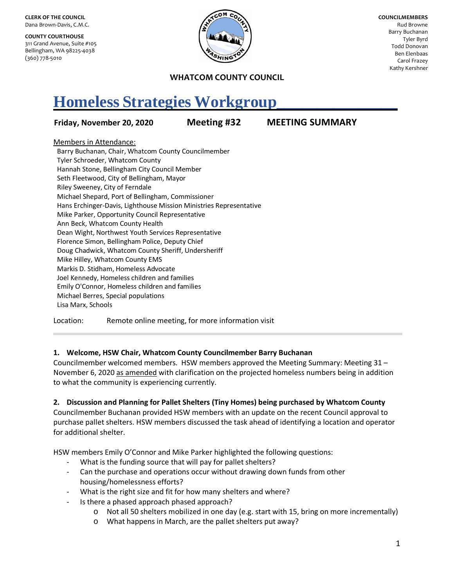**CLERK OF THE COUNCIL** Dana Brown-Davis, C.M.C.

**COUNTY COURTHOUSE** 311 Grand Avenue, Suite #105 Bellingham, WA 98225-4038 (360) 778-5010



**COUNCILMEMBERS** Rud Browne Barry Buchanan Tyler Byrd Todd Donovan Ben Elenbaas Carol Frazey Kathy Kershner

#### **WHATCOM COUNTY COUNCIL**

# **Homeless Strategies Workgroup\_\_\_\_\_\_\_\_\_\_\_\_\_\_\_**

## **Friday, November 20, 2020 Meeting #32 MEETING SUMMARY**

Members in Attendance:

Barry Buchanan, Chair, Whatcom County Councilmember Tyler Schroeder, Whatcom County Hannah Stone, Bellingham City Council Member Seth Fleetwood, City of Bellingham, Mayor Riley Sweeney, City of Ferndale Michael Shepard, Port of Bellingham, Commissioner Hans Erchinger-Davis, Lighthouse Mission Ministries Representative Mike Parker, Opportunity Council Representative Ann Beck, Whatcom County Health Dean Wight, Northwest Youth Services Representative Florence Simon, Bellingham Police, Deputy Chief Doug Chadwick, Whatcom County Sheriff, Undersheriff Mike Hilley, Whatcom County EMS Markis D. Stidham, Homeless Advocate Joel Kennedy, Homeless children and families Emily O'Connor, Homeless children and families Michael Berres, Special populations Lisa Marx, Schools

Location: Remote online meeting, for more information visit

## **1. Welcome, HSW Chair, Whatcom County Councilmember Barry Buchanan**

Councilmember welcomed members. HSW members approved the Meeting Summary: Meeting 31 – November 6, 2020 as amended with clarification on the projected homeless numbers being in addition to what the community is experiencing currently.

## **2. Discussion and Planning for Pallet Shelters (Tiny Homes) being purchased by Whatcom County**

Councilmember Buchanan provided HSW members with an update on the recent Council approval to purchase pallet shelters. HSW members discussed the task ahead of identifying a location and operator for additional shelter.

HSW members Emily O'Connor and Mike Parker highlighted the following questions:

- What is the funding source that will pay for pallet shelters?
- Can the purchase and operations occur without drawing down funds from other housing/homelessness efforts?
- What is the right size and fit for how many shelters and where?
- Is there a phased approach phased approach?
	- o Not all 50 shelters mobilized in one day (e.g. start with 15, bring on more incrementally)
	- o What happens in March, are the pallet shelters put away?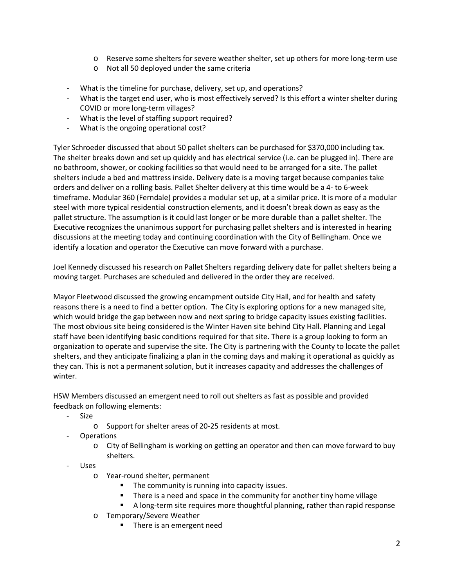- o Reserve some shelters for severe weather shelter, set up others for more long-term use
- o Not all 50 deployed under the same criteria
- What is the timeline for purchase, delivery, set up, and operations?
- What is the target end user, who is most effectively served? Is this effort a winter shelter during COVID or more long-term villages?
- What is the level of staffing support required?
- What is the ongoing operational cost?

Tyler Schroeder discussed that about 50 pallet shelters can be purchased for \$370,000 including tax. The shelter breaks down and set up quickly and has electrical service (i.e. can be plugged in). There are no bathroom, shower, or cooking facilities so that would need to be arranged for a site. The pallet shelters include a bed and mattress inside. Delivery date is a moving target because companies take orders and deliver on a rolling basis. Pallet Shelter delivery at this time would be a 4- to 6-week timeframe. Modular 360 (Ferndale) provides a modular set up, at a similar price. It is more of a modular steel with more typical residential construction elements, and it doesn't break down as easy as the pallet structure. The assumption is it could last longer or be more durable than a pallet shelter. The Executive recognizes the unanimous support for purchasing pallet shelters and is interested in hearing discussions at the meeting today and continuing coordination with the City of Bellingham. Once we identify a location and operator the Executive can move forward with a purchase.

Joel Kennedy discussed his research on Pallet Shelters regarding delivery date for pallet shelters being a moving target. Purchases are scheduled and delivered in the order they are received.

Mayor Fleetwood discussed the growing encampment outside City Hall, and for health and safety reasons there is a need to find a better option. The City is exploring options for a new managed site, which would bridge the gap between now and next spring to bridge capacity issues existing facilities. The most obvious site being considered is the Winter Haven site behind City Hall. Planning and Legal staff have been identifying basic conditions required for that site. There is a group looking to form an organization to operate and supervise the site. The City is partnering with the County to locate the pallet shelters, and they anticipate finalizing a plan in the coming days and making it operational as quickly as they can. This is not a permanent solution, but it increases capacity and addresses the challenges of winter.

HSW Members discussed an emergent need to roll out shelters as fast as possible and provided feedback on following elements:

- Size
	- o Support for shelter areas of 20-25 residents at most.
- **Operations** 
	- o City of Bellingham is working on getting an operator and then can move forward to buy shelters.
- Uses
	- o Year-round shelter, permanent
		- The community is running into capacity issues.
		- There is a need and space in the community for another tiny home village
		- A long-term site requires more thoughtful planning, rather than rapid response
	- o Temporary/Severe Weather
		- **There is an emergent need**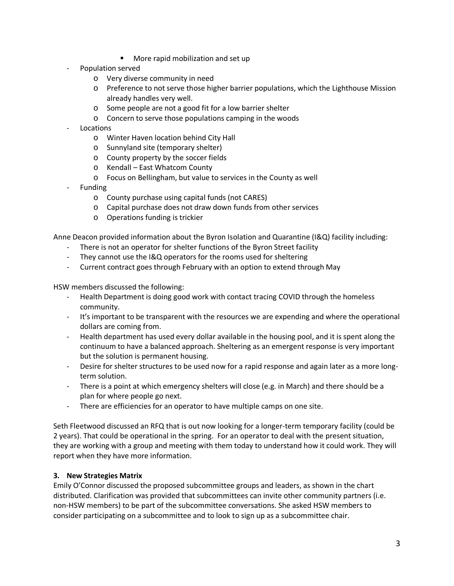- More rapid mobilization and set up
- Population served
	- o Very diverse community in need
	- o Preference to not serve those higher barrier populations, which the Lighthouse Mission already handles very well.
	- o Some people are not a good fit for a low barrier shelter
	- o Concern to serve those populations camping in the woods
- Locations
	- o Winter Haven location behind City Hall
	- o Sunnyland site (temporary shelter)
	- o County property by the soccer fields
	- o Kendall East Whatcom County
	- o Focus on Bellingham, but value to services in the County as well
- **Funding** 
	- o County purchase using capital funds (not CARES)
	- o Capital purchase does not draw down funds from other services
	- o Operations funding is trickier

Anne Deacon provided information about the Byron Isolation and Quarantine (I&Q) facility including:

- There is not an operator for shelter functions of the Byron Street facility
- They cannot use the I&Q operators for the rooms used for sheltering
- Current contract goes through February with an option to extend through May

HSW members discussed the following:

- Health Department is doing good work with contact tracing COVID through the homeless community.
- It's important to be transparent with the resources we are expending and where the operational dollars are coming from.
- Health department has used every dollar available in the housing pool, and it is spent along the continuum to have a balanced approach. Sheltering as an emergent response is very important but the solution is permanent housing.
- Desire for shelter structures to be used now for a rapid response and again later as a more longterm solution.
- There is a point at which emergency shelters will close (e.g. in March) and there should be a plan for where people go next.
- There are efficiencies for an operator to have multiple camps on one site.

Seth Fleetwood discussed an RFQ that is out now looking for a longer-term temporary facility (could be 2 years). That could be operational in the spring. For an operator to deal with the present situation, they are working with a group and meeting with them today to understand how it could work. They will report when they have more information.

## **3. New Strategies Matrix**

Emily O'Connor discussed the proposed subcommittee groups and leaders, as shown in the chart distributed. Clarification was provided that subcommittees can invite other community partners (i.e. non-HSW members) to be part of the subcommittee conversations. She asked HSW members to consider participating on a subcommittee and to look to sign up as a subcommittee chair.